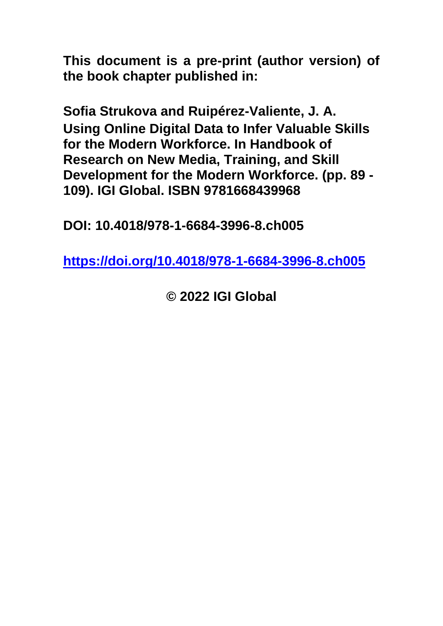**This document is a pre-print (author version) of the book chapter published in:**

**Sofia Strukova and Ruipérez-Valiente, J. A. Using Online Digital Data to Infer Valuable Skills for the Modern Workforce. In Handbook of Research on New Media, Training, and Skill Development for the Modern Workforce. (pp. 89 - 109). IGI Global. ISBN 9781668439968**

**DOI: 10.4018/978-1-6684-3996-8.ch005**

**<https://doi.org/10.4018/978-1-6684-3996-8.ch005>**

**© 2022 IGI Global**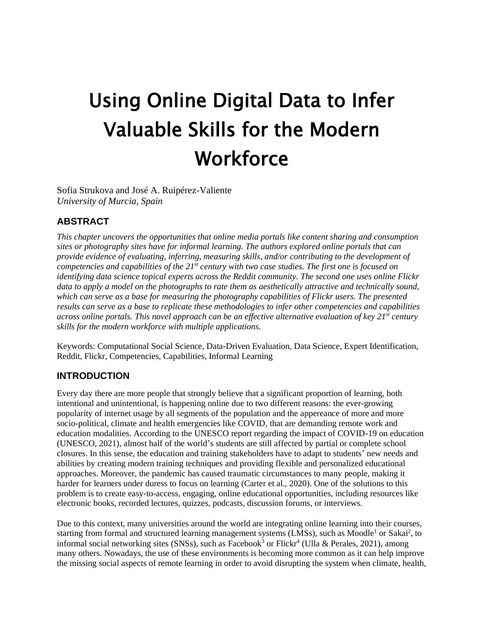# Using Online Digital Data to Infer Valuable Skills for the Modern **Workforce**

Sofia Strukova and José A. Ruipérez-Valiente *University of Murcia, Spain*

# **ABSTRACT**

*This chapter uncovers the opportunities that online media portals like content sharing and consumption sites or photography sites have for informal learning. The authors explored online portals that can provide evidence of evaluating, inferring, measuring skills, and/or contributing to the development of competencies and capabilities of the 21st century with two case studies. The first one is focused on identifying data science topical experts across the Reddit community. The second one uses online Flickr data to apply a model on the photographs to rate them as aesthetically attractive and technically sound, which can serve as a base for measuring the photography capabilities of Flickr users. The presented results can serve as a base to replicate these methodologies to infer other competencies and capabilities across online portals. This novel approach can be an effective alternative evaluation of key 21st century skills for the modern workforce with multiple applications.*

Keywords: Computational Social Science, Data-Driven Evaluation, Data Science, Expert Identification, Reddit, Flickr, Competencies, Capabilities, Informal Learning

### **INTRODUCTION**

Every day there are more people that strongly believe that a significant proportion of learning, both intentional and unintentional, is happening online due to two different reasons: the ever-growing popularity of internet usage by all segments of the population and the appereance of more and more socio-political, climate and health emergencies like COVID, that are demanding remote work and education modalities. According to the UNESCO report regarding the impact of COVID-19 on education (UNESCO, 2021), almost half of the world's students are still affected by partial or complete school closures. In this sense, the education and training stakeholders have to adapt to students' new needs and abilities by creating modern training techniques and providing flexible and personalized educational approaches. Moreover, the pandemic has caused traumatic circumstances to many people, making it harder for learners under duress to focus on learning (Carter et al., 2020). One of the solutions to this problem is to create easy-to-access, engaging, online educational opportunities, including resources like electronic books, recorded lectures, quizzes, podcasts, discussion forums, or interviews.

Due to this context, many universities around the world are integrating online learning into their courses, starting from formal and structured learning management systems (LMSs), such as Moodle<sup>1</sup> or Sakai<sup>2</sup>, to informal social networking sites (SNSs), such as Facebook<sup>3</sup> or Flickr<sup>4</sup> (Ulla & Perales, 2021), among many others. Nowadays, the use of these environments is becoming more common as it can help improve the missing social aspects of remote learning in order to avoid disrupting the system when climate, health,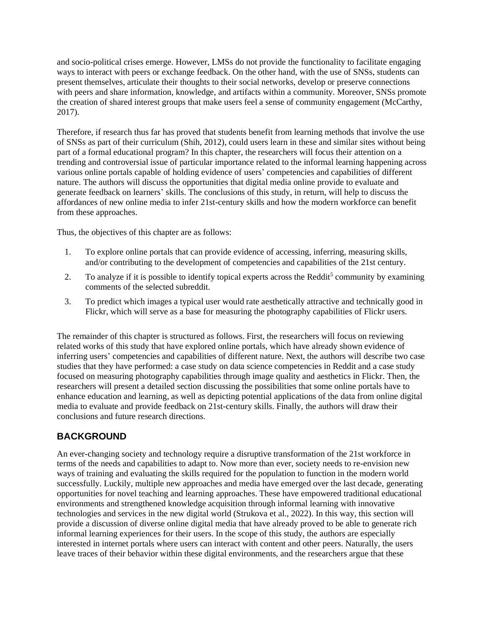and socio-political crises emerge. However, LMSs do not provide the functionality to facilitate engaging ways to interact with peers or exchange feedback. On the other hand, with the use of SNSs, students can present themselves, articulate their thoughts to their social networks, develop or preserve connections with peers and share information, knowledge, and artifacts within a community. Moreover, SNSs promote the creation of shared interest groups that make users feel a sense of community engagement (McCarthy, 2017).

Therefore, if research thus far has proved that students benefit from learning methods that involve the use of SNSs as part of their curriculum (Shih, 2012), could users learn in these and similar sites without being part of a formal educational program? In this chapter, the researchers will focus their attention on a trending and controversial issue of particular importance related to the informal learning happening across various online portals capable of holding evidence of users' competencies and capabilities of different nature. The authors will discuss the opportunities that digital media online provide to evaluate and generate feedback on learners' skills. The conclusions of this study, in return, will help to discuss the affordances of new online media to infer 21st-century skills and how the modern workforce can benefit from these approaches.

Thus, the objectives of this chapter are as follows:

- 1. To explore online portals that can provide evidence of accessing, inferring, measuring skills, and/or contributing to the development of competencies and capabilities of the 21st century.
- 2. To analyze if it is possible to identify topical experts across the Reddit<sup>5</sup> community by examining comments of the selected subreddit.
- 3. To predict which images a typical user would rate aesthetically attractive and technically good in Flickr, which will serve as a base for measuring the photography capabilities of Flickr users.

The remainder of this chapter is structured as follows. First, the researchers will focus on reviewing related works of this study that have explored online portals, which have already shown evidence of inferring users' competencies and capabilities of different nature. Next, the authors will describe two case studies that they have performed: a case study on data science competencies in Reddit and a case study focused on measuring photography capabilities through image quality and aesthetics in Flickr. Then, the researchers will present a detailed section discussing the possibilities that some online portals have to enhance education and learning, as well as depicting potential applications of the data from online digital media to evaluate and provide feedback on 21st-century skills. Finally, the authors will draw their conclusions and future research directions.

# **BACKGROUND**

An ever-changing society and technology require a disruptive transformation of the 21st workforce in terms of the needs and capabilities to adapt to. Now more than ever, society needs to re-envision new ways of training and evaluating the skills required for the population to function in the modern world successfully. Luckily, multiple new approaches and media have emerged over the last decade, generating opportunities for novel teaching and learning approaches. These have empowered traditional educational environments and strengthened knowledge acquisition through informal learning with innovative technologies and services in the new digital world (Strukova et al., 2022). In this way, this section will provide a discussion of diverse online digital media that have already proved to be able to generate rich informal learning experiences for their users. In the scope of this study, the authors are especially interested in internet portals where users can interact with content and other peers. Naturally, the users leave traces of their behavior within these digital environments, and the researchers argue that these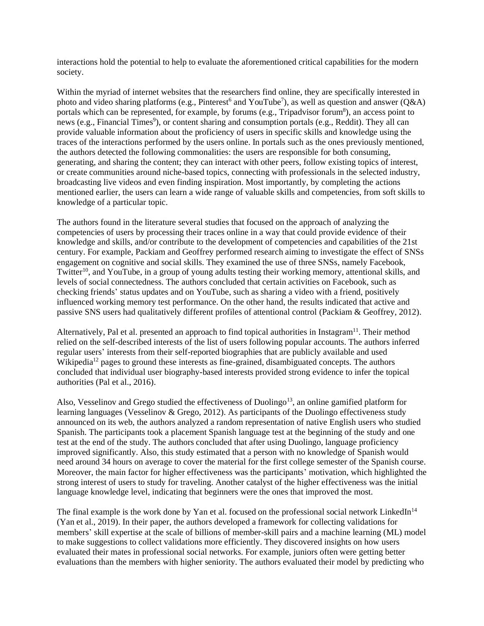interactions hold the potential to help to evaluate the aforementioned critical capabilities for the modern society.

Within the myriad of internet websites that the researchers find online, they are specifically interested in photo and video sharing platforms (e.g., Pinterest<sup>6</sup> and YouTube<sup>7</sup>), as well as question and answer ( $Q&A$ ) portals which can be represented, for example, by forums (e.g., Tripadvisor forum<sup>8</sup>), an access point to news (e.g., Financial Times<sup>9</sup>), or content sharing and consumption portals (e.g., Reddit). They all can provide valuable information about the proficiency of users in specific skills and knowledge using the traces of the interactions performed by the users online. In portals such as the ones previously mentioned, the authors detected the following commonalities: the users are responsible for both consuming, generating, and sharing the content; they can interact with other peers, follow existing topics of interest, or create communities around niche-based topics, connecting with professionals in the selected industry, broadcasting live videos and even finding inspiration. Most importantly, by completing the actions mentioned earlier, the users can learn a wide range of valuable skills and competencies, from soft skills to knowledge of a particular topic.

The authors found in the literature several studies that focused on the approach of analyzing the competencies of users by processing their traces online in a way that could provide evidence of their knowledge and skills, and/or contribute to the development of competencies and capabilities of the 21st century. For example, Packiam and Geoffrey performed research aiming to investigate the effect of SNSs engagement on cognitive and social skills. They examined the use of three SNSs, namely Facebook, Twitter<sup>10</sup>, and YouTube, in a group of young adults testing their working memory, attentional skills, and levels of social connectedness. The authors concluded that certain activities on Facebook, such as checking friends' status updates and on YouTube, such as sharing a video with a friend, positively influenced working memory test performance. On the other hand, the results indicated that active and passive SNS users had qualitatively different profiles of attentional control (Packiam & Geoffrey, 2012).

Alternatively, Pal et al. presented an approach to find topical authorities in Instagram<sup>11</sup>. Their method relied on the self-described interests of the list of users following popular accounts. The authors inferred regular users' interests from their self-reported biographies that are publicly available and used Wikipedia<sup>12</sup> pages to ground these interests as fine-grained, disambiguated concepts. The authors concluded that individual user biography-based interests provided strong evidence to infer the topical authorities (Pal et al., 2016).

Also, Vesselinov and Grego studied the effectiveness of Duolingo<sup>13</sup>, an online gamified platform for learning languages (Vesselinov & Grego, 2012). As participants of the Duolingo effectiveness study announced on its web, the authors analyzed a random representation of native English users who studied Spanish. The participants took a placement Spanish language test at the beginning of the study and one test at the end of the study. The authors concluded that after using Duolingo, language proficiency improved significantly. Also, this study estimated that a person with no knowledge of Spanish would need around 34 hours on average to cover the material for the first college semester of the Spanish course. Moreover, the main factor for higher effectiveness was the participants' motivation, which highlighted the strong interest of users to study for traveling. Another catalyst of the higher effectiveness was the initial language knowledge level, indicating that beginners were the ones that improved the most.

The final example is the work done by Yan et al. focused on the professional social network LinkedIn<sup>14</sup> (Yan et al., 2019). In their paper, the authors developed a framework for collecting validations for members' skill expertise at the scale of billions of member-skill pairs and a machine learning (ML) model to make suggestions to collect validations more efficiently. They discovered insights on how users evaluated their mates in professional social networks. For example, juniors often were getting better evaluations than the members with higher seniority. The authors evaluated their model by predicting who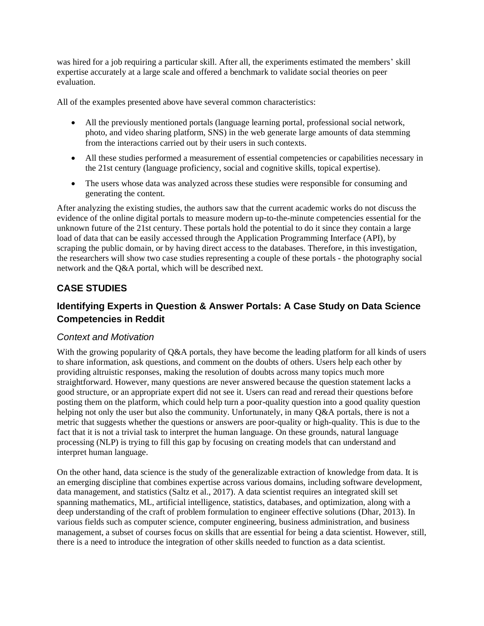was hired for a job requiring a particular skill. After all, the experiments estimated the members' skill expertise accurately at a large scale and offered a benchmark to validate social theories on peer evaluation.

All of the examples presented above have several common characteristics:

- All the previously mentioned portals (language learning portal, professional social network, photo, and video sharing platform, SNS) in the web generate large amounts of data stemming from the interactions carried out by their users in such contexts.
- All these studies performed a measurement of essential competencies or capabilities necessary in the 21st century (language proficiency, social and cognitive skills, topical expertise).
- The users whose data was analyzed across these studies were responsible for consuming and generating the content.

After analyzing the existing studies, the authors saw that the current academic works do not discuss the evidence of the online digital portals to measure modern up-to-the-minute competencies essential for the unknown future of the 21st century. These portals hold the potential to do it since they contain a large load of data that can be easily accessed through the Application Programming Interface (API), by scraping the public domain, or by having direct access to the databases. Therefore, in this investigation, the researchers will show two case studies representing a couple of these portals - the photography social network and the Q&A portal, which will be described next.

# **CASE STUDIES**

# **Identifying Experts in Question & Answer Portals: A Case Study on Data Science Competencies in Reddit**

#### *Context and Motivation*

With the growing popularity of Q&A portals, they have become the leading platform for all kinds of users to share information, ask questions, and comment on the doubts of others. Users help each other by providing altruistic responses, making the resolution of doubts across many topics much more straightforward. However, many questions are never answered because the question statement lacks a good structure, or an appropriate expert did not see it. Users can read and reread their questions before posting them on the platform, which could help turn a poor-quality question into a good quality question helping not only the user but also the community. Unfortunately, in many Q&A portals, there is not a metric that suggests whether the questions or answers are poor-quality or high-quality. This is due to the fact that it is not a trivial task to interpret the human language. On these grounds, natural language processing (NLP) is trying to fill this gap by focusing on creating models that can understand and interpret human language.

On the other hand, data science is the study of the generalizable extraction of knowledge from data. It is an emerging discipline that combines expertise across various domains, including software development, data management, and statistics (Saltz et al., 2017). A data scientist requires an integrated skill set spanning mathematics, ML, artificial intelligence, statistics, databases, and optimization, along with a deep understanding of the craft of problem formulation to engineer effective solutions (Dhar, 2013). In various fields such as computer science, computer engineering, business administration, and business management, a subset of courses focus on skills that are essential for being a data scientist. However, still, there is a need to introduce the integration of other skills needed to function as a data scientist.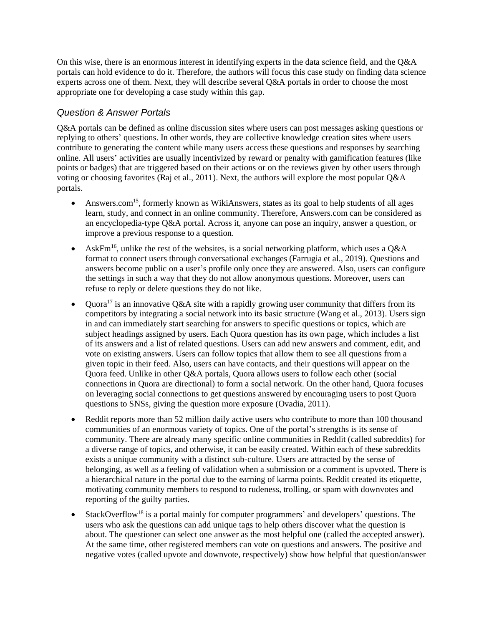On this wise, there is an enormous interest in identifying experts in the data science field, and the Q&A portals can hold evidence to do it. Therefore, the authors will focus this case study on finding data science experts across one of them. Next, they will describe several Q&A portals in order to choose the most appropriate one for developing a case study within this gap.

### *Question & Answer Portals*

Q&A portals can be defined as online discussion sites where users can post messages asking questions or replying to others' questions. In other words, they are collective knowledge creation sites where users contribute to generating the content while many users access these questions and responses by searching online. All users' activities are usually incentivized by reward or penalty with gamification features (like points or badges) that are triggered based on their actions or on the reviews given by other users through voting or choosing favorites (Raj et al., 2011). Next, the authors will explore the most popular Q&A portals.

- Answers.com<sup>15</sup>, formerly known as WikiAnswers, states as its goal to help students of all ages learn, study, and connect in an online community. Therefore, Answers.com can be considered as an encyclopedia-type Q&A portal. Across it, anyone can pose an inquiry, answer a question, or improve a previous response to a question.
- AskFm<sup>16</sup>, unlike the rest of the websites, is a social networking platform, which uses a  $Q\&A$ format to connect users through conversational exchanges (Farrugia et al., 2019). Questions and answers become public on a user's profile only once they are answered. Also, users can configure the settings in such a way that they do not allow anonymous questions. Moreover, users can refuse to reply or delete questions they do not like.
- Quora<sup>17</sup> is an innovative Q&A site with a rapidly growing user community that differs from its competitors by integrating a social network into its basic structure (Wang et al., 2013). Users sign in and can immediately start searching for answers to specific questions or topics, which are subject headings assigned by users. Each Quora question has its own page, which includes a list of its answers and a list of related questions. Users can add new answers and comment, edit, and vote on existing answers. Users can follow topics that allow them to see all questions from a given topic in their feed. Also, users can have contacts, and their questions will appear on the Quora feed. Unlike in other Q&A portals, Quora allows users to follow each other (social connections in Quora are directional) to form a social network. On the other hand, Quora focuses on leveraging social connections to get questions answered by encouraging users to post Quora questions to SNSs, giving the question more exposure (Ovadia, 2011).
- Reddit reports more than 52 million daily active users who contribute to more than 100 thousand communities of an enormous variety of topics. One of the portal's strengths is its sense of community. There are already many specific online communities in Reddit (called subreddits) for a diverse range of topics, and otherwise, it can be easily created. Within each of these subreddits exists a unique community with a distinct sub-culture. Users are attracted by the sense of belonging, as well as a feeling of validation when a submission or a comment is upvoted. There is a hierarchical nature in the portal due to the earning of karma points. Reddit created its etiquette, motivating community members to respond to rudeness, trolling, or spam with downvotes and reporting of the guilty parties.
- StackOverflow<sup>18</sup> is a portal mainly for computer programmers' and developers' questions. The users who ask the questions can add unique tags to help others discover what the question is about. The questioner can select one answer as the most helpful one (called the accepted answer). At the same time, other registered members can vote on questions and answers. The positive and negative votes (called upvote and downvote, respectively) show how helpful that question/answer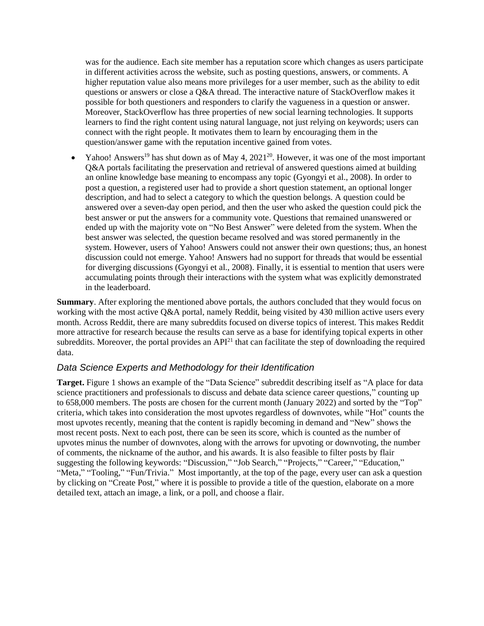was for the audience. Each site member has a reputation score which changes as users participate in different activities across the website, such as posting questions, answers, or comments. A higher reputation value also means more privileges for a user member, such as the ability to edit questions or answers or close a Q&A thread. The interactive nature of StackOverflow makes it possible for both questioners and responders to clarify the vagueness in a question or answer. Moreover, StackOverflow has three properties of new social learning technologies. It supports learners to find the right content using natural language, not just relying on keywords; users can connect with the right people. It motivates them to learn by encouraging them in the question/answer game with the reputation incentive gained from votes.

• Yahoo! Answers<sup>19</sup> has shut down as of May 4, 2021<sup>20</sup>. However, it was one of the most important Q&A portals facilitating the preservation and retrieval of answered questions aimed at building an online knowledge base meaning to encompass any topic (Gyongyi et al., 2008). In order to post a question, a registered user had to provide a short question statement, an optional longer description, and had to select a category to which the question belongs. A question could be answered over a seven-day open period, and then the user who asked the question could pick the best answer or put the answers for a community vote. Questions that remained unanswered or ended up with the majority vote on "No Best Answer" were deleted from the system. When the best answer was selected, the question became resolved and was stored permanently in the system. However, users of Yahoo! Answers could not answer their own questions; thus, an honest discussion could not emerge. Yahoo! Answers had no support for threads that would be essential for diverging discussions (Gyongyi et al., 2008). Finally, it is essential to mention that users were accumulating points through their interactions with the system what was explicitly demonstrated in the leaderboard.

**Summary**. After exploring the mentioned above portals, the authors concluded that they would focus on working with the most active Q&A portal, namely Reddit, being visited by 430 million active users every month. Across Reddit, there are many subreddits focused on diverse topics of interest. This makes Reddit more attractive for research because the results can serve as a base for identifying topical experts in other subreddits. Moreover, the portal provides an API<sup>21</sup> that can facilitate the step of downloading the required data.

#### *Data Science Experts and Methodology for their Identification*

**Target.** Figure 1 shows an example of the "Data Science" subreddit describing itself as "A place for data science practitioners and professionals to discuss and debate data science career questions," counting up to 658,000 members. The posts are chosen for the current month (January 2022) and sorted by the "Top" criteria, which takes into consideration the most upvotes regardless of downvotes, while "Hot" counts the most upvotes recently, meaning that the content is rapidly becoming in demand and "New" shows the most recent posts. Next to each post, there can be seen its score, which is counted as the number of upvotes minus the number of downvotes, along with the arrows for upvoting or downvoting, the number of comments, the nickname of the author, and his awards. It is also feasible to filter posts by flair suggesting the following keywords: "Discussion," "Job Search," "Projects," "Career," "Education," "Meta," "Tooling," "Fun/Trivia." Most importantly, at the top of the page, every user can ask a question by clicking on "Create Post," where it is possible to provide a title of the question, elaborate on a more detailed text, attach an image, a link, or a poll, and choose a flair.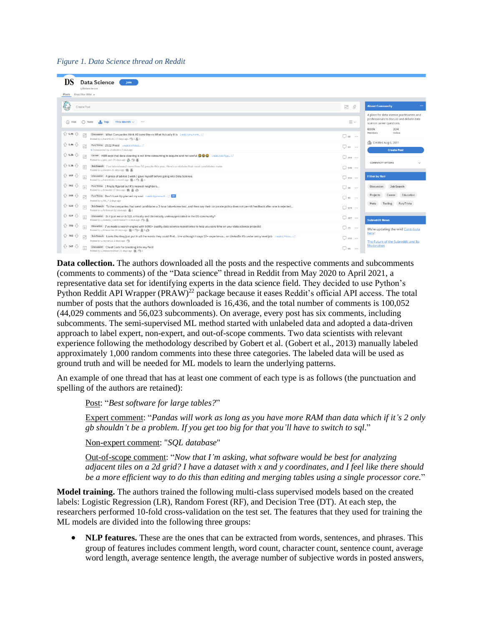#### *Figure 1. Data Science thread on Reddit*

| <b>Data Science</b><br>Join<br>r/datascience                                                                                                                                                                                                   |                           |                                                                                                                                    |
|------------------------------------------------------------------------------------------------------------------------------------------------------------------------------------------------------------------------------------------------|---------------------------|------------------------------------------------------------------------------------------------------------------------------------|
| Read the Wiki +<br>Posts                                                                                                                                                                                                                       |                           |                                                                                                                                    |
| Create Post                                                                                                                                                                                                                                    | 8<br>$\mathbb{R}^{\circ}$ | $\cdots$<br><b>About Community</b>                                                                                                 |
| ₹ New<br>This Month $\sim$<br>$\bigcirc$ Hot<br>$\mathbf{f}$ . Top<br>                                                                                                                                                                         | $\equiv$ $\backsim$       | A place for data science practitioners and<br>professionals to discuss and debate data<br>science career questions.<br>658k<br>334 |
| $\bigcap$ 1.9k $\bigcup$<br>Discussion What Companies think AI looks like vs What Actually it is i.redd.it/mu7cm5 [3]<br>$\sqrt{2}$<br>Posted by u/harsh6161 17 days ago (92 3) 3                                                              | $\Box$ 68                 | Members<br>Online                                                                                                                  |
| $\bigoplus$ 1.4k $\bigoplus$<br>Fun/Trivia 2022 Mood i.redd.it/s7olw2 [3]<br>Crossposted by u/calcsters 2 days ago                                                                                                                             | $\Box$ 84                 | Created Aug 6, 2011<br><b>Create Post</b>                                                                                          |
| $\bigoplus$ 1.3k $\bigoplus$<br>Career HBR says that data cleaning is not time consuming to acquire and not useful @ @ ineddit/a57zyp [3]<br>Posted by u/geo_jam 21 days ago @ @ @ @                                                           | $\Box$ 294                | <b>COMMUNITY OPTIONS</b>                                                                                                           |
| $\bigoplus$ 1.1k $\bigoplus$<br>Job Search I've interviewed more than 50 people this year. Here's a mistake that most candidates make<br>Posted by u/stolzen 25 days ago (B) (S)                                                               | $\Box$ 140                |                                                                                                                                    |
| ☆ 997 ☆<br>Discussion A piece of advice I wish I gave myself before going into Data Science.<br>Posted by u/harsh6161 1 month ago 图 4 (号 图 4                                                                                                   | $\Box$ 115                | <b>Filter by flair</b>                                                                                                             |
| $\curvearrowleft$ 965<br>⇩<br>Fun/Trivia I finally figured out K's nearest neighbors<br>Posted by u/bhendel 17 days ago BB. (5) and                                                                                                            | $\Box$ 36                 | Job Search<br>Discussion                                                                                                           |
| ⇩<br>489<br>Fun/Trivia Don't Look Up plerced my soul i.redd.it/pmmw4f [2] OG<br>闷<br>Posted by u/RB_7 2 days ago                                                                                                                               | $\Box$ 45                 | Projects<br>Career<br>Education                                                                                                    |
| $\left\{\right\}$ 820<br>₩<br>Job Search To the companies that send candidates a 3 hour take-home test, and then say their corporate policy does not permit feedback after one is rejected<br>Posted by u/forbiscuit 12 days ago 5 2           | $\Box$ 174                | Meta<br>Tooling<br>Fun/Trivia                                                                                                      |
| $4827 - 5$<br>Discussion Is it just me or is SQL critically and chronically underappreciated in the DS community?<br>Posted by u/Greedy_Comfortable73 6 days ago (%)                                                                           | $\Box$ 307                | <b>Subreddit News</b>                                                                                                              |
| $290 - 7$<br>Education I've made a search engine with 5000+ quality data science repositories to help you save time on your data science projects!<br>$\equiv$<br>Posted by u/khanarree 28 days ago @ 5 @ 5 @ 9 @                              | $\Box$ 25                 | We're updating the wiki! Contribute<br>here!                                                                                       |
| ☆ 702 ☆<br>Job Search Looks like they just put in all the words they could find btw although it says 10+ experience on LinkedIn it's under entry level job irredd.it/7kiclo [3]<br>$\mathbb{R}^{\circ}$<br>Posted by u/rayyan26 2 days ago (%) | $\Box$ 211                | The Future of the Subreddit and Its                                                                                                |
| ← 547 →<br>Discussion Cheat Code for breaking into any field<br>E<br>Posted by u/HesaconGhost 21 days ago (8) (9) 2                                                                                                                            | $\Box$ 99<br>             | Moderation                                                                                                                         |

**Data collection.** The authors downloaded all the posts and the respective comments and subcomments (comments to comments) of the "Data science" thread in Reddit from May 2020 to April 2021, a representative data set for identifying experts in the data science field. They decided to use Python's Python Reddit API Wrapper  $(PRAW)^{22}$  package because it eases Reddit's official API access. The total number of posts that the authors downloaded is 16,436, and the total number of comments is 100,052 (44,029 comments and 56,023 subcomments). On average, every post has six comments, including subcomments. The semi-supervised ML method started with unlabeled data and adopted a data-driven approach to label expert, non-expert, and out-of-scope comments. Two data scientists with relevant experience following the methodology described by Gobert et al. (Gobert et al., 2013) manually labeled approximately 1,000 random comments into these three categories. The labeled data will be used as ground truth and will be needed for ML models to learn the underlying patterns.

An example of one thread that has at least one comment of each type is as follows (the punctuation and spelling of the authors are retained):

Post: "*Best software for large tables?*"

Expert comment: "*Pandas will work as long as you have more RAM than data which if it's 2 only gb shouldn't be a problem. If you get too big for that you'll have to switch to sql*."

Non-expert comment: "*SQL database*"

Out-of-scope comment: "*Now that I'm asking, what software would be best for analyzing adjacent tiles on a 2d grid? I have a dataset with x and y coordinates, and I feel like there should be a more efficient way to do this than editing and merging tables using a single processor core.*"

**Model training.** The authors trained the following multi-class supervised models based on the created labels: Logistic Regression (LR), Random Forest (RF), and Decision Tree (DT). At each step, the researchers performed 10-fold cross-validation on the test set. The features that they used for training the ML models are divided into the following three groups:

• **NLP features.** These are the ones that can be extracted from words, sentences, and phrases. This group of features includes comment length, word count, character count, sentence count, average word length, average sentence length, the average number of subjective words in posted answers,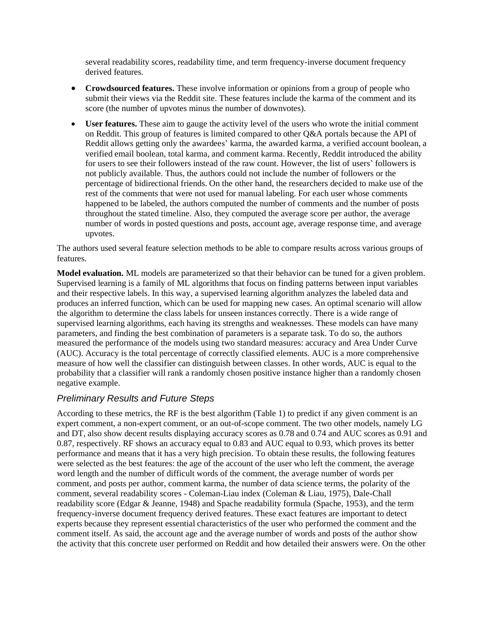several readability scores, readability time, and term frequency-inverse document frequency derived features.

- **Crowdsourced features.** These involve information or opinions from a group of people who submit their views via the Reddit site. These features include the karma of the comment and its score (the number of upvotes minus the number of downvotes).
- **User features.** These aim to gauge the activity level of the users who wrote the initial comment on Reddit. This group of features is limited compared to other Q&A portals because the API of Reddit allows getting only the awardees' karma, the awarded karma, a verified account boolean, a verified email boolean, total karma, and comment karma. Recently, Reddit introduced the ability for users to see their followers instead of the raw count. However, the list of users' followers is not publicly available. Thus, the authors could not include the number of followers or the percentage of bidirectional friends. On the other hand, the researchers decided to make use of the rest of the comments that were not used for manual labeling. For each user whose comments happened to be labeled, the authors computed the number of comments and the number of posts throughout the stated timeline. Also, they computed the average score per author, the average number of words in posted questions and posts, account age, average response time, and average upvotes.

The authors used several feature selection methods to be able to compare results across various groups of features.

**Model evaluation.** ML models are parameterized so that their behavior can be tuned for a given problem. Supervised learning is a family of ML algorithms that focus on finding patterns between input variables and their respective labels. In this way, a supervised learning algorithm analyzes the labeled data and produces an inferred function, which can be used for mapping new cases. An optimal scenario will allow the algorithm to determine the class labels for unseen instances correctly. There is a wide range of supervised learning algorithms, each having its strengths and weaknesses. These models can have many parameters, and finding the best combination of parameters is a separate task. To do so, the authors measured the performance of the models using two standard measures: accuracy and Area Under Curve (AUC). Accuracy is the total percentage of correctly classified elements. AUC is a more comprehensive measure of how well the classifier can distinguish between classes. In other words, AUC is equal to the probability that a classifier will rank a randomly chosen positive instance higher than a randomly chosen negative example.

#### *Preliminary Results and Future Steps*

According to these metrics, the RF is the best algorithm (Table 1) to predict if any given comment is an expert comment, a non-expert comment, or an out-of-scope comment. The two other models, namely LG and DT, also show decent results displaying accuracy scores as 0.78 and 0.74 and AUC scores as 0.91 and 0.87, respectively. RF shows an accuracy equal to 0.83 and AUC equal to 0.93, which proves its better performance and means that it has a very high precision. To obtain these results, the following features were selected as the best features: the age of the account of the user who left the comment, the average word length and the number of difficult words of the comment, the average number of words per comment, and posts per author, comment karma, the number of data science terms, the polarity of the comment, several readability scores - Coleman-Liau index (Coleman & Liau, 1975), Dale-Chall readability score (Edgar & Jeanne, 1948) and Spache readability formula (Spache, 1953), and the term frequency-inverse document frequency derived features. These exact features are important to detect experts because they represent essential characteristics of the user who performed the comment and the comment itself. As said, the account age and the average number of words and posts of the author show the activity that this concrete user performed on Reddit and how detailed their answers were. On the other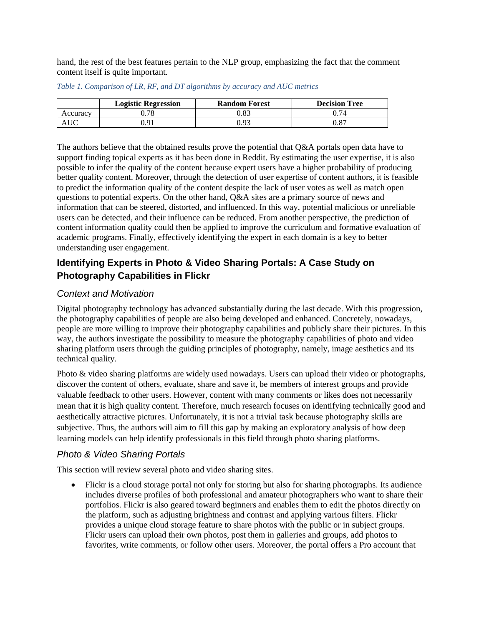hand, the rest of the best features pertain to the NLP group, emphasizing the fact that the comment content itself is quite important.

|          | <b>Logistic Regression</b> | <b>Random Forest</b> | <b>Decision Tree</b> |
|----------|----------------------------|----------------------|----------------------|
| Accuracv | .78                        | 0.83                 | 74                   |
|          | Q <sub>1</sub>             | 93.                  | $\rm 0.87$           |

*Table 1. Comparison of LR, RF, and DT algorithms by accuracy and AUC metrics*

The authors believe that the obtained results prove the potential that Q&A portals open data have to support finding topical experts as it has been done in Reddit. By estimating the user expertise, it is also possible to infer the quality of the content because expert users have a higher probability of producing better quality content. Moreover, through the detection of user expertise of content authors, it is feasible to predict the information quality of the content despite the lack of user votes as well as match open questions to potential experts. On the other hand, Q&A sites are a primary source of news and information that can be steered, distorted, and influenced. In this way, potential malicious or unreliable users can be detected, and their influence can be reduced. From another perspective, the prediction of content information quality could then be applied to improve the curriculum and formative evaluation of academic programs. Finally, effectively identifying the expert in each domain is a key to better understanding user engagement.

# **Identifying Experts in Photo & Video Sharing Portals: A Case Study on Photography Capabilities in Flickr**

# *Context and Motivation*

Digital photography technology has advanced substantially during the last decade. With this progression, the photography capabilities of people are also being developed and enhanced. Concretely, nowadays, people are more willing to improve their photography capabilities and publicly share their pictures. In this way, the authors investigate the possibility to measure the photography capabilities of photo and video sharing platform users through the guiding principles of photography, namely, image aesthetics and its technical quality.

Photo & video sharing platforms are widely used nowadays. Users can upload their video or photographs, discover the content of others, evaluate, share and save it, be members of interest groups and provide valuable feedback to other users. However, content with many comments or likes does not necessarily mean that it is high quality content. Therefore, much research focuses on identifying technically good and aesthetically attractive pictures. Unfortunately, it is not a trivial task because photography skills are subjective. Thus, the authors will aim to fill this gap by making an exploratory analysis of how deep learning models can help identify professionals in this field through photo sharing platforms.

# *Photo & Video Sharing Portals*

This section will review several photo and video sharing sites.

• Flickr is a cloud storage portal not only for storing but also for sharing photographs. Its audience includes diverse profiles of both professional and amateur photographers who want to share their portfolios. Flickr is also geared toward beginners and enables them to edit the photos directly on the platform, such as adjusting brightness and contrast and applying various filters. Flickr provides a unique cloud storage feature to share photos with the public or in subject groups. Flickr users can upload their own photos, post them in galleries and groups, add photos to favorites, write comments, or follow other users. Moreover, the portal offers a Pro account that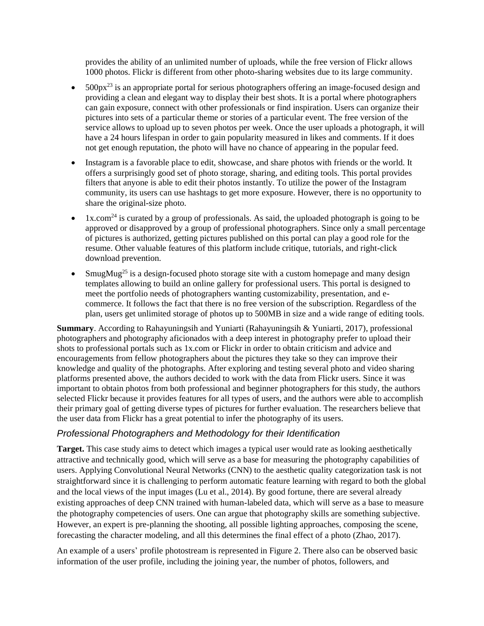provides the ability of an unlimited number of uploads, while the free version of Flickr allows 1000 photos. Flickr is different from other photo-sharing websites due to its large community.

- $500px^{23}$  is an appropriate portal for serious photographers offering an image-focused design and providing a clean and elegant way to display their best shots. It is a portal where photographers can gain exposure, connect with other professionals or find inspiration. Users can organize their pictures into sets of a particular theme or stories of a particular event. The free version of the service allows to upload up to seven photos per week. Once the user uploads a photograph, it will have a 24 hours lifespan in order to gain popularity measured in likes and comments. If it does not get enough reputation, the photo will have no chance of appearing in the popular feed.
- Instagram is a favorable place to edit, showcase, and share photos with friends or the world. It offers a surprisingly good set of photo storage, sharing, and editing tools. This portal provides filters that anyone is able to edit their photos instantly. To utilize the power of the Instagram community, its users can use hashtags to get more exposure. However, there is no opportunity to share the original-size photo.
- 1x.com<sup>24</sup> is curated by a group of professionals. As said, the uploaded photograph is going to be approved or disapproved by a group of professional photographers. Since only a small percentage of pictures is authorized, getting pictures published on this portal can play a good role for the resume. Other valuable features of this platform include critique, tutorials, and right-click download prevention.
- SmugMug<sup>25</sup> is a design-focused photo storage site with a custom homepage and many design templates allowing to build an online gallery for professional users. This portal is designed to meet the portfolio needs of photographers wanting customizability, presentation, and ecommerce. It follows the fact that there is no free version of the subscription. Regardless of the plan, users get unlimited storage of photos up to 500MB in size and a wide range of editing tools.

**Summary**. According to Rahayuningsih and Yuniarti (Rahayuningsih & Yuniarti, 2017), professional photographers and photography aficionados with a deep interest in photography prefer to upload their shots to professional portals such as 1x.com or Flickr in order to obtain criticism and advice and encouragements from fellow photographers about the pictures they take so they can improve their knowledge and quality of the photographs. After exploring and testing several photo and video sharing platforms presented above, the authors decided to work with the data from Flickr users. Since it was important to obtain photos from both professional and beginner photographers for this study, the authors selected Flickr because it provides features for all types of users, and the authors were able to accomplish their primary goal of getting diverse types of pictures for further evaluation. The researchers believe that the user data from Flickr has a great potential to infer the photography of its users.

### *Professional Photographers and Methodology for their Identification*

**Target.** This case study aims to detect which images a typical user would rate as looking aesthetically attractive and technically good, which will serve as a base for measuring the photography capabilities of users. Applying Convolutional Neural Networks (CNN) to the aesthetic quality categorization task is not straightforward since it is challenging to perform automatic feature learning with regard to both the global and the local views of the input images (Lu et al., 2014). By good fortune, there are several already existing approaches of deep CNN trained with human-labeled data, which will serve as a base to measure the photography competencies of users. One can argue that photography skills are something subjective. However, an expert is pre-planning the shooting, all possible lighting approaches, composing the scene, forecasting the character modeling, and all this determines the final effect of a photo (Zhao, 2017).

An example of a users' profile photostream is represented in Figure 2. There also can be observed basic information of the user profile, including the joining year, the number of photos, followers, and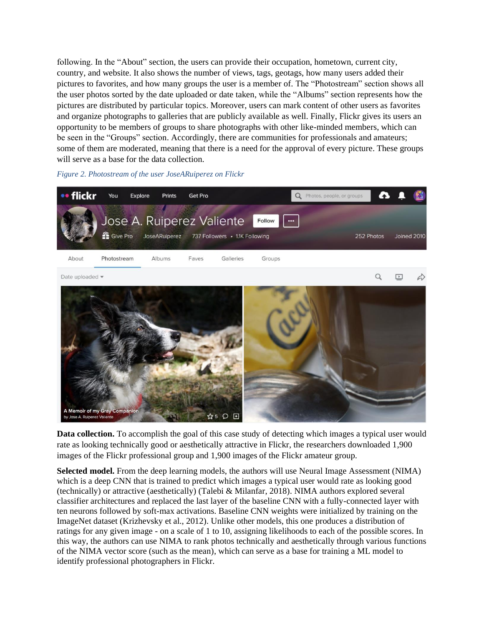following. In the "About" section, the users can provide their occupation, hometown, current city, country, and website. It also shows the number of views, tags, geotags, how many users added their pictures to favorites, and how many groups the user is a member of. The "Photostream" section shows all the user photos sorted by the date uploaded or date taken, while the "Albums" section represents how the pictures are distributed by particular topics. Moreover, users can mark content of other users as favorites and organize photographs to galleries that are publicly available as well. Finally, Flickr gives its users an opportunity to be members of groups to share photographs with other like-minded members, which can be seen in the "Groups" section. Accordingly, there are communities for professionals and amateurs; some of them are moderated, meaning that there is a need for the approval of every picture. These groups will serve as a base for the data collection.





**Data collection.** To accomplish the goal of this case study of detecting which images a typical user would rate as looking technically good or aesthetically attractive in Flickr, the researchers downloaded 1,900 images of the Flickr professional group and 1,900 images of the Flickr amateur group.

**Selected model.** From the deep learning models, the authors will use Neural Image Assessment (NIMA) which is a deep CNN that is trained to predict which images a typical user would rate as looking good (technically) or attractive (aesthetically) (Talebi & Milanfar, 2018). NIMA authors explored several classifier architectures and replaced the last layer of the baseline CNN with a fully-connected layer with ten neurons followed by soft-max activations. Baseline CNN weights were initialized by training on the ImageNet dataset (Krizhevsky et al., 2012). Unlike other models, this one produces a distribution of ratings for any given image - on a scale of 1 to 10, assigning likelihoods to each of the possible scores. In this way, the authors can use NIMA to rank photos technically and aesthetically through various functions of the NIMA vector score (such as the mean), which can serve as a base for training a ML model to identify professional photographers in Flickr.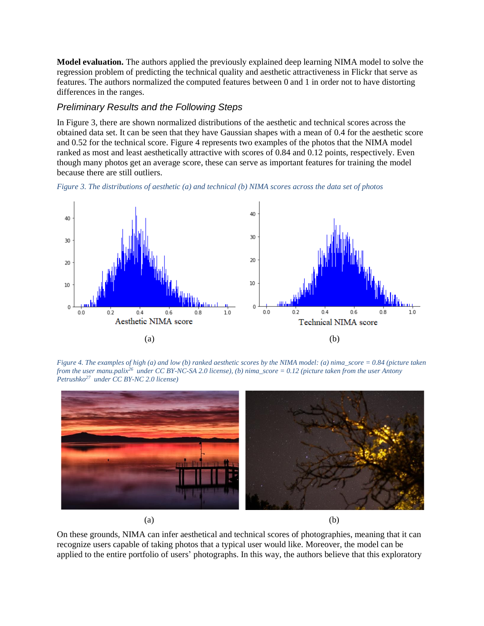**Model evaluation.** The authors applied the previously explained deep learning NIMA model to solve the regression problem of predicting the technical quality and aesthetic attractiveness in Flickr that serve as features. The authors normalized the computed features between 0 and 1 in order not to have distorting differences in the ranges.

#### *Preliminary Results and the Following Steps*

In Figure 3, there are shown normalized distributions of the aesthetic and technical scores across the obtained data set. It can be seen that they have Gaussian shapes with a mean of 0.4 for the aesthetic score and 0.52 for the technical score. Figure 4 represents two examples of the photos that the NIMA model ranked as most and least aesthetically attractive with scores of 0.84 and 0.12 points, respectively. Even though many photos get an average score, these can serve as important features for training the model because there are still outliers.





*Figure 4. The examples of high (a) and low (b) ranked aesthetic scores by the NIMA model: (a) nima\_score = 0.84 (picture taken from the user manu.palix<sup>26</sup> under CC BY-NC-SA 2.0 license), (b) nima\_score = 0.12 (picture taken from the user Antony Petrushko<sup>27</sup> under CC BY-NC 2.0 license)*



 $(a)$  (b)

On these grounds, NIMA can infer aesthetical and technical scores of photographies, meaning that it can recognize users capable of taking photos that a typical user would like. Moreover, the model can be applied to the entire portfolio of users' photographs. In this way, the authors believe that this exploratory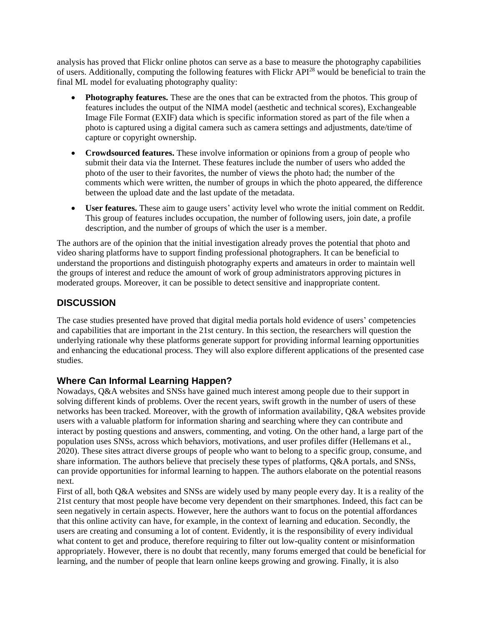analysis has proved that Flickr online photos can serve as a base to measure the photography capabilities of users. Additionally, computing the following features with Flickr API<sup>28</sup> would be beneficial to train the final ML model for evaluating photography quality:

- **Photography features.** These are the ones that can be extracted from the photos. This group of features includes the output of the NIMA model (aesthetic and technical scores), Exchangeable Image File Format (EXIF) data which is specific information stored as part of the file when a photo is captured using a digital camera such as camera settings and adjustments, date/time of capture or copyright ownership.
- **Crowdsourced features.** These involve information or opinions from a group of people who submit their data via the Internet. These features include the number of users who added the photo of the user to their favorites, the number of views the photo had; the number of the comments which were written, the number of groups in which the photo appeared, the difference between the upload date and the last update of the metadata.
- **User features.** These aim to gauge users' activity level who wrote the initial comment on Reddit. This group of features includes occupation, the number of following users, join date, a profile description, and the number of groups of which the user is a member.

The authors are of the opinion that the initial investigation already proves the potential that photo and video sharing platforms have to support finding professional photographers. It can be beneficial to understand the proportions and distinguish photography experts and amateurs in order to maintain well the groups of interest and reduce the amount of work of group administrators approving pictures in moderated groups. Moreover, it can be possible to detect sensitive and inappropriate content.

# **DISCUSSION**

The case studies presented have proved that digital media portals hold evidence of users' competencies and capabilities that are important in the 21st century. In this section, the researchers will question the underlying rationale why these platforms generate support for providing informal learning opportunities and enhancing the educational process. They will also explore different applications of the presented case studies.

### **Where Can Informal Learning Happen?**

Nowadays, Q&A websites and SNSs have gained much interest among people due to their support in solving different kinds of problems. Over the recent years, swift growth in the number of users of these networks has been tracked. Moreover, with the growth of information availability, Q&A websites provide users with a valuable platform for information sharing and searching where they can contribute and interact by posting questions and answers, commenting, and voting. On the other hand, a large part of the population uses SNSs, across which behaviors, motivations, and user profiles differ (Hellemans et al., 2020). These sites attract diverse groups of people who want to belong to a specific group, consume, and share information. The authors believe that precisely these types of platforms, Q&A portals, and SNSs, can provide opportunities for informal learning to happen. The authors elaborate on the potential reasons next.

First of all, both Q&A websites and SNSs are widely used by many people every day. It is a reality of the 21st century that most people have become very dependent on their smartphones. Indeed, this fact can be seen negatively in certain aspects. However, here the authors want to focus on the potential affordances that this online activity can have, for example, in the context of learning and education. Secondly, the users are creating and consuming a lot of content. Evidently, it is the responsibility of every individual what content to get and produce, therefore requiring to filter out low-quality content or misinformation appropriately. However, there is no doubt that recently, many forums emerged that could be beneficial for learning, and the number of people that learn online keeps growing and growing. Finally, it is also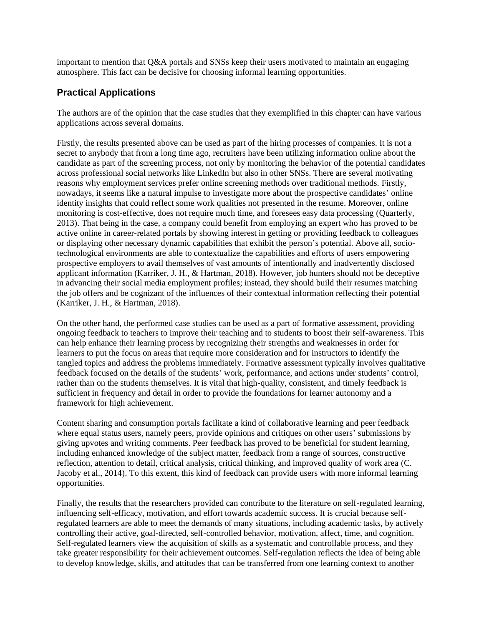important to mention that Q&A portals and SNSs keep their users motivated to maintain an engaging atmosphere. This fact can be decisive for choosing informal learning opportunities.

#### **Practical Applications**

The authors are of the opinion that the case studies that they exemplified in this chapter can have various applications across several domains.

Firstly, the results presented above can be used as part of the hiring processes of companies. It is not a secret to anybody that from a long time ago, recruiters have been utilizing information online about the candidate as part of the screening process, not only by monitoring the behavior of the potential candidates across professional social networks like LinkedIn but also in other SNSs. There are several motivating reasons why employment services prefer online screening methods over traditional methods. Firstly, nowadays, it seems like a natural impulse to investigate more about the prospective candidates' online identity insights that could reflect some work qualities not presented in the resume. Moreover, online monitoring is cost-effective, does not require much time, and foresees easy data processing (Quarterly, 2013). That being in the case, a company could benefit from employing an expert who has proved to be active online in career-related portals by showing interest in getting or providing feedback to colleagues or displaying other necessary dynamic capabilities that exhibit the person's potential. Above all, sociotechnological environments are able to contextualize the capabilities and efforts of users empowering prospective employers to avail themselves of vast amounts of intentionally and inadvertently disclosed applicant information (Karriker, J. H., & Hartman, 2018). However, job hunters should not be deceptive in advancing their social media employment profiles; instead, they should build their resumes matching the job offers and be cognizant of the influences of their contextual information reflecting their potential (Karriker, J. H., & Hartman, 2018).

On the other hand, the performed case studies can be used as a part of formative assessment, providing ongoing feedback to teachers to improve their teaching and to students to boost their self-awareness. This can help enhance their learning process by recognizing their strengths and weaknesses in order for learners to put the focus on areas that require more consideration and for instructors to identify the tangled topics and address the problems immediately. Formative assessment typically involves qualitative feedback focused on the details of the students' work, performance, and actions under students' control, rather than on the students themselves. It is vital that high-quality, consistent, and timely feedback is sufficient in frequency and detail in order to provide the foundations for learner autonomy and a framework for high achievement.

Content sharing and consumption portals facilitate a kind of collaborative learning and peer feedback where equal status users, namely peers, provide opinions and critiques on other users' submissions by giving upvotes and writing comments. Peer feedback has proved to be beneficial for student learning, including enhanced knowledge of the subject matter, feedback from a range of sources, constructive reflection, attention to detail, critical analysis, critical thinking, and improved quality of work area (C. Jacoby et al., 2014). To this extent, this kind of feedback can provide users with more informal learning opportunities.

Finally, the results that the researchers provided can contribute to the literature on self-regulated learning, influencing self-efficacy, motivation, and effort towards academic success. It is crucial because selfregulated learners are able to meet the demands of many situations, including academic tasks, by actively controlling their active, goal-directed, self-controlled behavior, motivation, affect, time, and cognition. Self-regulated learners view the acquisition of skills as a systematic and controllable process, and they take greater responsibility for their achievement outcomes. Self-regulation reflects the idea of being able to develop knowledge, skills, and attitudes that can be transferred from one learning context to another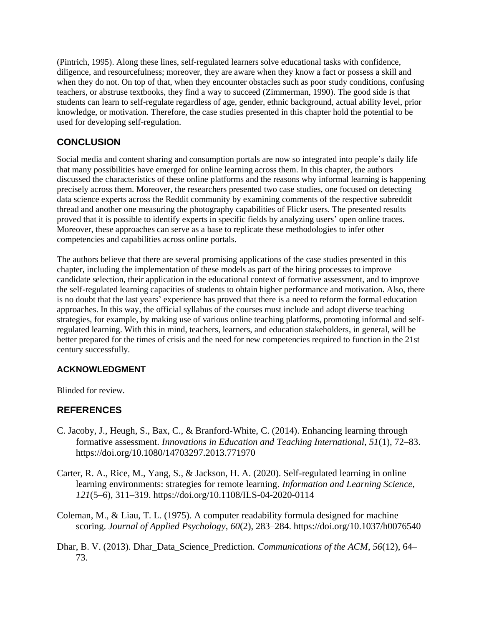(Pintrich, 1995). Along these lines, self-regulated learners solve educational tasks with confidence, diligence, and resourcefulness; moreover, they are aware when they know a fact or possess a skill and when they do not. On top of that, when they encounter obstacles such as poor study conditions, confusing teachers, or abstruse textbooks, they find a way to succeed (Zimmerman, 1990). The good side is that students can learn to self-regulate regardless of age, gender, ethnic background, actual ability level, prior knowledge, or motivation. Therefore, the case studies presented in this chapter hold the potential to be used for developing self-regulation.

# **CONCLUSION**

Social media and content sharing and consumption portals are now so integrated into people's daily life that many possibilities have emerged for online learning across them. In this chapter, the authors discussed the characteristics of these online platforms and the reasons why informal learning is happening precisely across them. Moreover, the researchers presented two case studies, one focused on detecting data science experts across the Reddit community by examining comments of the respective subreddit thread and another one measuring the photography capabilities of Flickr users. The presented results proved that it is possible to identify experts in specific fields by analyzing users' open online traces. Moreover, these approaches can serve as a base to replicate these methodologies to infer other competencies and capabilities across online portals.

The authors believe that there are several promising applications of the case studies presented in this chapter, including the implementation of these models as part of the hiring processes to improve candidate selection, their application in the educational context of formative assessment, and to improve the self-regulated learning capacities of students to obtain higher performance and motivation. Also, there is no doubt that the last years' experience has proved that there is a need to reform the formal education approaches. In this way, the official syllabus of the courses must include and adopt diverse teaching strategies, for example, by making use of various online teaching platforms, promoting informal and selfregulated learning. With this in mind, teachers, learners, and education stakeholders, in general, will be better prepared for the times of crisis and the need for new competencies required to function in the 21st century successfully.

### **ACKNOWLEDGMENT**

Blinded for review.

### **REFERENCES**

- C. Jacoby, J., Heugh, S., Bax, C., & Branford-White, C. (2014). Enhancing learning through formative assessment. *Innovations in Education and Teaching International*, *51*(1), 72–83. https://doi.org/10.1080/14703297.2013.771970
- Carter, R. A., Rice, M., Yang, S., & Jackson, H. A. (2020). Self-regulated learning in online learning environments: strategies for remote learning. *Information and Learning Science*, *121*(5–6), 311–319. https://doi.org/10.1108/ILS-04-2020-0114
- Coleman, M., & Liau, T. L. (1975). A computer readability formula designed for machine scoring. *Journal of Applied Psychology*, *60*(2), 283–284. https://doi.org/10.1037/h0076540
- Dhar, B. V. (2013). Dhar\_Data\_Science\_Prediction. *Communications of the ACM*, *56*(12), 64– 73.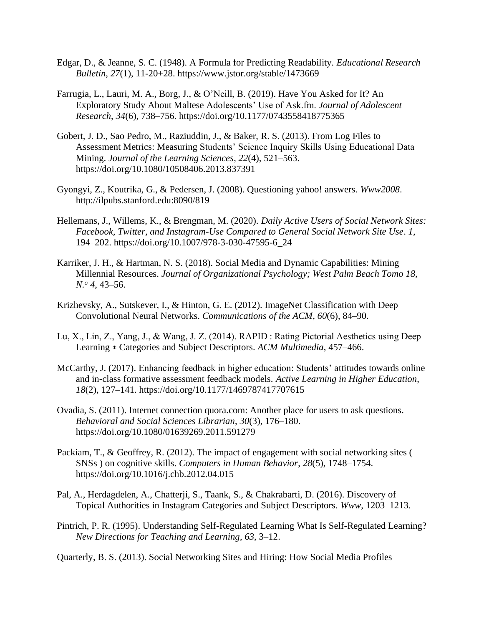- Edgar, D., & Jeanne, S. C. (1948). A Formula for Predicting Readability. *Educational Research Bulletin*, *27*(1), 11-20+28. https://www.jstor.org/stable/1473669
- Farrugia, L., Lauri, M. A., Borg, J., & O'Neill, B. (2019). Have You Asked for It? An Exploratory Study About Maltese Adolescents' Use of Ask.fm. *Journal of Adolescent Research*, *34*(6), 738–756. https://doi.org/10.1177/0743558418775365
- Gobert, J. D., Sao Pedro, M., Raziuddin, J., & Baker, R. S. (2013). From Log Files to Assessment Metrics: Measuring Students' Science Inquiry Skills Using Educational Data Mining. *Journal of the Learning Sciences*, *22*(4), 521–563. https://doi.org/10.1080/10508406.2013.837391
- Gyongyi, Z., Koutrika, G., & Pedersen, J. (2008). Questioning yahoo! answers. *Www2008*. http://ilpubs.stanford.edu:8090/819
- Hellemans, J., Willems, K., & Brengman, M. (2020). *Daily Active Users of Social Network Sites: Facebook, Twitter, and Instagram-Use Compared to General Social Network Site Use*. *1*, 194–202. https://doi.org/10.1007/978-3-030-47595-6\_24
- Karriker, J. H., & Hartman, N. S. (2018). Social Media and Dynamic Capabilities: Mining Millennial Resources. *Journal of Organizational Psychology; West Palm Beach Tomo 18, N.<sup>o</sup> 4*, 43–56.
- Krizhevsky, A., Sutskever, I., & Hinton, G. E. (2012). ImageNet Classification with Deep Convolutional Neural Networks. *Communications of the ACM*, *60*(6), 84–90.
- Lu, X., Lin, Z., Yang, J., & Wang, J. Z. (2014). RAPID : Rating Pictorial Aesthetics using Deep Learning ∗ Categories and Subject Descriptors. *ACM Multimedia*, 457–466.
- McCarthy, J. (2017). Enhancing feedback in higher education: Students' attitudes towards online and in-class formative assessment feedback models. *Active Learning in Higher Education*, *18*(2), 127–141. https://doi.org/10.1177/1469787417707615
- Ovadia, S. (2011). Internet connection quora.com: Another place for users to ask questions. *Behavioral and Social Sciences Librarian*, *30*(3), 176–180. https://doi.org/10.1080/01639269.2011.591279
- Packiam, T., & Geoffrey, R. (2012). The impact of engagement with social networking sites ( SNSs ) on cognitive skills. *Computers in Human Behavior*, *28*(5), 1748–1754. https://doi.org/10.1016/j.chb.2012.04.015
- Pal, A., Herdagdelen, A., Chatterji, S., Taank, S., & Chakrabarti, D. (2016). Discovery of Topical Authorities in Instagram Categories and Subject Descriptors. *Www*, 1203–1213.
- Pintrich, P. R. (1995). Understanding Self-Regulated Learning What Is Self-Regulated Learning? *New Directions for Teaching and Learning*, *63*, 3–12.

Quarterly, B. S. (2013). Social Networking Sites and Hiring: How Social Media Profiles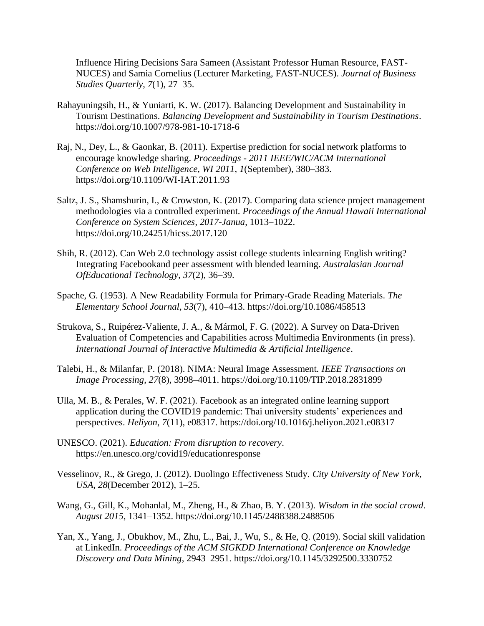Influence Hiring Decisions Sara Sameen (Assistant Professor Human Resource, FAST-NUCES) and Samia Cornelius (Lecturer Marketing, FAST-NUCES). *Journal of Business Studies Quarterly*, *7*(1), 27–35.

- Rahayuningsih, H., & Yuniarti, K. W. (2017). Balancing Development and Sustainability in Tourism Destinations. *Balancing Development and Sustainability in Tourism Destinations*. https://doi.org/10.1007/978-981-10-1718-6
- Raj, N., Dey, L., & Gaonkar, B. (2011). Expertise prediction for social network platforms to encourage knowledge sharing. *Proceedings - 2011 IEEE/WIC/ACM International Conference on Web Intelligence, WI 2011*, *1*(September), 380–383. https://doi.org/10.1109/WI-IAT.2011.93
- Saltz, J. S., Shamshurin, I., & Crowston, K. (2017). Comparing data science project management methodologies via a controlled experiment. *Proceedings of the Annual Hawaii International Conference on System Sciences*, *2017*-*Janua*, 1013–1022. https://doi.org/10.24251/hicss.2017.120
- Shih, R. (2012). Can Web 2.0 technology assist college students inlearning English writing? Integrating Facebookand peer assessment with blended learning. *Australasian Journal OfEducational Technology*, *37*(2), 36–39.
- Spache, G. (1953). A New Readability Formula for Primary-Grade Reading Materials. *The Elementary School Journal*, *53*(7), 410–413. https://doi.org/10.1086/458513
- Strukova, S., Ruipérez-Valiente, J. A., & Mármol, F. G. (2022). A Survey on Data-Driven Evaluation of Competencies and Capabilities across Multimedia Environments (in press). *International Journal of Interactive Multimedia & Artificial Intelligence*.
- Talebi, H., & Milanfar, P. (2018). NIMA: Neural Image Assessment. *IEEE Transactions on Image Processing*, *27*(8), 3998–4011. https://doi.org/10.1109/TIP.2018.2831899
- Ulla, M. B., & Perales, W. F. (2021). Facebook as an integrated online learning support application during the COVID19 pandemic: Thai university students' experiences and perspectives. *Heliyon*, *7*(11), e08317. https://doi.org/10.1016/j.heliyon.2021.e08317
- UNESCO. (2021). *Education: From disruption to recovery*. https://en.unesco.org/covid19/educationresponse
- Vesselinov, R., & Grego, J. (2012). Duolingo Effectiveness Study. *City University of New York, USA*, *28*(December 2012), 1–25.
- Wang, G., Gill, K., Mohanlal, M., Zheng, H., & Zhao, B. Y. (2013). *Wisdom in the social crowd*. *August 2015*, 1341–1352. https://doi.org/10.1145/2488388.2488506
- Yan, X., Yang, J., Obukhov, M., Zhu, L., Bai, J., Wu, S., & He, Q. (2019). Social skill validation at LinkedIn. *Proceedings of the ACM SIGKDD International Conference on Knowledge Discovery and Data Mining*, 2943–2951. https://doi.org/10.1145/3292500.3330752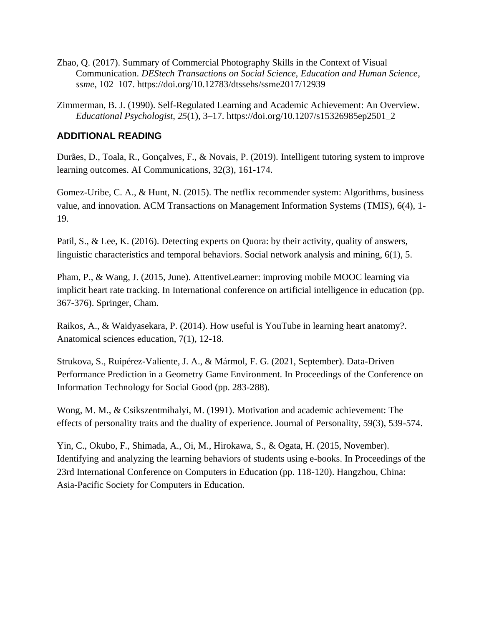- Zhao, Q. (2017). Summary of Commercial Photography Skills in the Context of Visual Communication. *DEStech Transactions on Social Science, Education and Human Science*, *ssme*, 102–107. https://doi.org/10.12783/dtssehs/ssme2017/12939
- Zimmerman, B. J. (1990). Self-Regulated Learning and Academic Achievement: An Overview. *Educational Psychologist*, *25*(1), 3–17. https://doi.org/10.1207/s15326985ep2501\_2

## **ADDITIONAL READING**

Durães, D., Toala, R., Gonçalves, F., & Novais, P. (2019). Intelligent tutoring system to improve learning outcomes. AI Communications, 32(3), 161-174.

Gomez-Uribe, C. A., & Hunt, N. (2015). The netflix recommender system: Algorithms, business value, and innovation. ACM Transactions on Management Information Systems (TMIS), 6(4), 1- 19.

Patil, S., & Lee, K. (2016). Detecting experts on Quora: by their activity, quality of answers, linguistic characteristics and temporal behaviors. Social network analysis and mining, 6(1), 5.

Pham, P., & Wang, J. (2015, June). AttentiveLearner: improving mobile MOOC learning via implicit heart rate tracking. In International conference on artificial intelligence in education (pp. 367-376). Springer, Cham.

Raikos, A., & Waidyasekara, P. (2014). How useful is YouTube in learning heart anatomy?. Anatomical sciences education, 7(1), 12-18.

Strukova, S., Ruipérez-Valiente, J. A., & Mármol, F. G. (2021, September). Data-Driven Performance Prediction in a Geometry Game Environment. In Proceedings of the Conference on Information Technology for Social Good (pp. 283-288).

Wong, M. M., & Csikszentmihalyi, M. (1991). Motivation and academic achievement: The effects of personality traits and the duality of experience. Journal of Personality, 59(3), 539-574.

Yin, C., Okubo, F., Shimada, A., Oi, M., Hirokawa, S., & Ogata, H. (2015, November). Identifying and analyzing the learning behaviors of students using e-books. In Proceedings of the 23rd International Conference on Computers in Education (pp. 118-120). Hangzhou, China: Asia-Pacific Society for Computers in Education.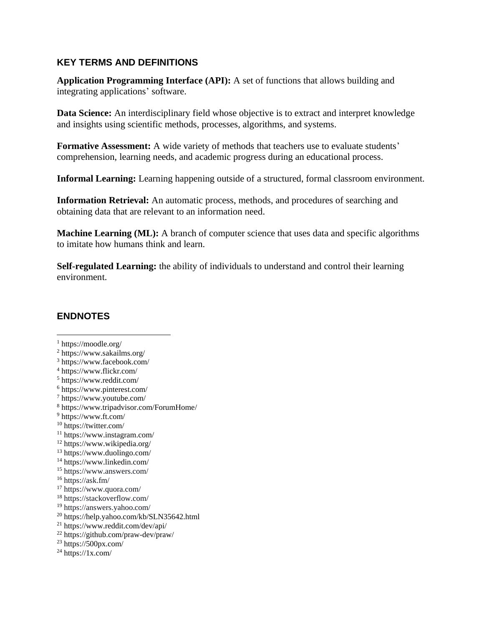# **KEY TERMS AND DEFINITIONS**

**Application Programming Interface (API):** A set of functions that allows building and integrating applications' software.

**Data Science:** An interdisciplinary field whose objective is to extract and interpret knowledge and insights using scientific methods, processes, algorithms, and systems.

**Formative Assessment:** A wide variety of methods that teachers use to evaluate students' comprehension, learning needs, and academic progress during an educational process.

**Informal Learning:** Learning happening outside of a structured, formal classroom environment.

**Information Retrieval:** An automatic process, methods, and procedures of searching and obtaining data that are relevant to an information need.

**Machine Learning (ML):** A branch of computer science that uses data and specific algorithms to imitate how humans think and learn.

**Self-regulated Learning:** the ability of individuals to understand and control their learning environment.

# **ENDNOTES**

- <sup>1</sup> https://moodle.org/
- <sup>2</sup> https://www.sakailms.org/
- <sup>3</sup> https://www.facebook.com/
- <sup>4</sup> https://www.flickr.com/
- <sup>5</sup> https://www.reddit.com/
- <sup>6</sup> https://www.pinterest.com/
- <sup>7</sup> https://www.youtube.com/
- <sup>8</sup> https://www.tripadvisor.com/ForumHome/
- <sup>9</sup> https://www.ft.com/
- <sup>10</sup> https://twitter.com/
- <sup>11</sup> https://www.instagram.com/
- <sup>12</sup> https://www.wikipedia.org/
- <sup>13</sup> https://www.duolingo.com/
- <sup>14</sup> https://www.linkedin.com/
- <sup>15</sup> https://www.answers.com/
- $16$  https://ask.fm/
- <sup>17</sup> https://www.quora.com/
- <sup>18</sup> https://stackoverflow.com/
- <sup>19</sup> https://answers.yahoo.com/
- <sup>20</sup> https://help.yahoo.com/kb/SLN35642.html
- <sup>21</sup> https://www.reddit.com/dev/api/
- <sup>22</sup> https://github.com/praw-dev/praw/
- $23 \text{ https://500px.com}$
- $^{24}$  https://1x.com/